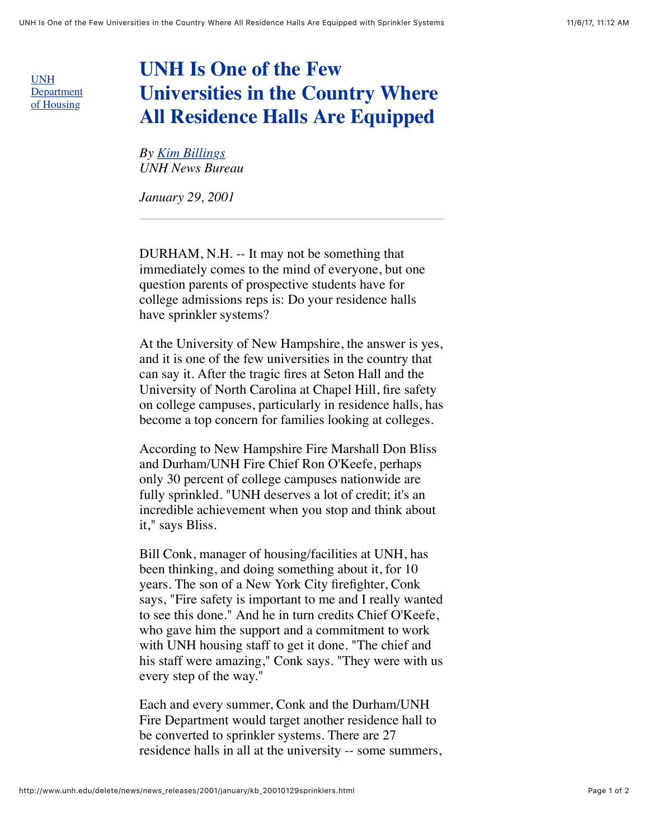UNH [Department](http://www.unh.edu/housing/) of Housing

## **UNH Is One of the Few Universities in the Country Where All Residence Halls Are Equipped**

*By [Kim Billings](mailto:Kim.Billings@unh.edu) UNH News Bureau*

*January 29, 2001*

DURHAM, N.H. -- It may not be something that immediately comes to the mind of everyone, but one question parents of prospective students have for college admissions reps is: Do your residence halls have sprinkler systems?

At the University of New Hampshire, the answer is yes, and it is one of the few universities in the country that can say it. After the tragic fires at Seton Hall and the University of North Carolina at Chapel Hill, fire safety on college campuses, particularly in residence halls, has become a top concern for families looking at colleges.

According to New Hampshire Fire Marshall Don Bliss and Durham/UNH Fire Chief Ron O'Keefe, perhaps only 30 percent of college campuses nationwide are fully sprinkled. "UNH deserves a lot of credit; it's an incredible achievement when you stop and think about it," says Bliss.

Bill Conk, manager of housing/facilities at UNH, has been thinking, and doing something about it, for 10 years. The son of a New York City firefighter, Conk says, "Fire safety is important to me and I really wanted to see this done." And he in turn credits Chief O'Keefe, who gave him the support and a commitment to work with UNH housing staff to get it done. "The chief and his staff were amazing," Conk says. "They were with us every step of the way."

Each and every summer, Conk and the Durham/UNH Fire Department would target another residence hall to be converted to sprinkler systems. There are 27 residence halls in all at the university -- some summers,